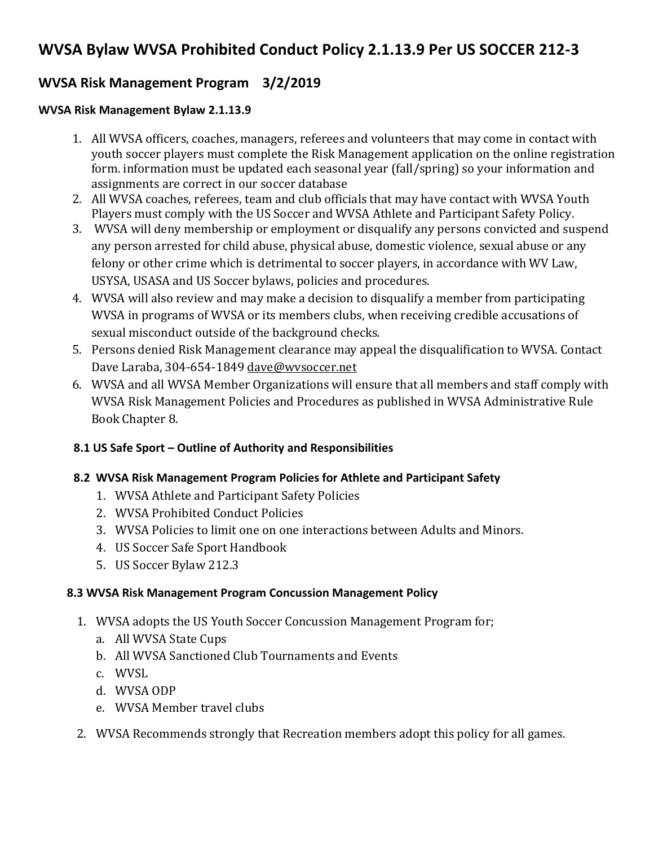# **WVSA Bylaw WVSA Prohibited Conduct Policy 2.1.13.9 Per US SOCCER 212-3**

## **WVSA Risk Management Program 3/2/2019**

#### **WVSA Risk Management Bylaw 2.1.13.9**

- 1. All WVSA officers, coaches, managers, referees and volunteers that may come in contact with youth soccer players must complete the Risk Management application on the online registration form. information must be updated each seasonal year (fall/spring) so your information and assignments are correct in our soccer database
- 2. All WVSA coaches, referees, team and club officials that may have contact with WVSA Youth Players must comply with the US Soccer and WVSA Athlete and Participant Safety Policy.
- 3. WVSA will deny membership or employment or disqualify any persons convicted and suspend any person arrested for child abuse, physical abuse, domestic violence, sexual abuse or any felony or other crime which is detrimental to soccer players, in accordance with WV Law, USYSA, USASA and US Soccer bylaws, policies and procedures.
- 4. WVSA will also review and may make a decision to disqualify a member from participating WVSA in programs of WVSA or its members clubs, when receiving credible accusations of sexual misconduct outside of the background checks.
- 5. Persons denied Risk Management clearance may appeal the disqualification to WVSA. Contact Dave Laraba, 304-654-1849 dave@wysoccer.net
- 6. WVSA and all WVSA Member Organizations will ensure that all members and staff comply with WVSA Risk Management Policies and Procedures as published in WVSA Administrative Rule Book Chapter 8.

## **8.1 US Safe Sport – Outline of Authority and Responsibilities**

#### **8.2 WVSA Risk Management Program Policies for Athlete and Participant Safety**

- 1. WVSA Athlete and Participant Safety Policies
- 2. WVSA Prohibited Conduct Policies
- 3. WVSA Policies to limit one on one interactions between Adults and Minors.
- 4. US Soccer Safe Sport Handbook
- 5. US Soccer Bylaw 212.3

## **8.3 WVSA Risk Management Program Concussion Management Policy**

- 1. WVSA adopts the US Youth Soccer Concussion Management Program for;
	- a. All WVSA State Cups
	- b. All WVSA Sanctioned Club Tournaments and Events
	- c. WVSL
	- d. WVSA ODP
	- e. WVSA Member travel clubs
- 2. WVSA Recommends strongly that Recreation members adopt this policy for all games.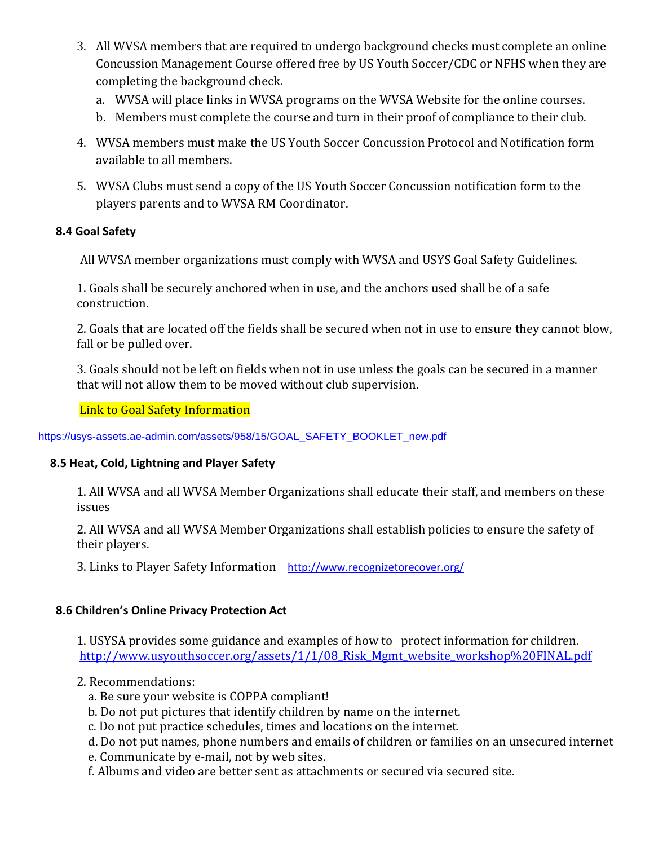- 3. All WVSA members that are required to undergo background checks must complete an online Concussion Management Course offered free by US Youth Soccer/CDC or NFHS when they are completing the background check.
	- a. WVSA will place links in WVSA programs on the WVSA Website for the online courses.
	- b. Members must complete the course and turn in their proof of compliance to their club.
- 4. WVSA members must make the US Youth Soccer Concussion Protocol and Notification form available to all members.
- 5. WVSA Clubs must send a copy of the US Youth Soccer Concussion notification form to the players parents and to WVSA RM Coordinator.

#### **8.4 Goal Safety**

All WVSA member organizations must comply with WVSA and USYS Goal Safety Guidelines.

1. Goals shall be securely anchored when in use, and the anchors used shall be of a safe construction.

2. Goals that are located off the fields shall be secured when not in use to ensure they cannot blow, fall or be pulled over.

3. Goals should not be left on fields when not in use unless the goals can be secured in a manner that will not allow them to be moved without club supervision.

### Link to Goal Safety Information

[https://usys-assets.ae-admin.com/assets/958/15/GOAL\\_SAFETY\\_BOOKLET\\_new.pdf](https://usys-assets.ae-admin.com/assets/958/15/GOAL_SAFETY_BOOKLET_new.pdf)

#### **8.5 Heat, Cold, Lightning and Player Safety**

1. All WVSA and all WVSA Member Organizations shall educate their staff, and members on these issues

2. All WVSA and all WVSA Member Organizations shall establish policies to ensure the safety of their players.

3. Links to Player Safety Information <http://www.recognizetorecover.org/>

## **8.6 Children's Online Privacy Protection Act**

 1. USYSA provides some guidance and examples of how to protect information for children. http://www.usyouthsoccer.org/assets/1/1/08 Risk Mgmt website\_workshop%20FINAL.pdf

- 2. Recommendations:
	- a. Be sure your website is COPPA compliant!
	- b. Do not put pictures that identify children by name on the internet.
	- c. Do not put practice schedules, times and locations on the internet.
	- d. Do not put names, phone numbers and emails of children or families on an unsecured internet
	- e. Communicate by e-mail, not by web sites.
	- f. Albums and video are better sent as attachments or secured via secured site.